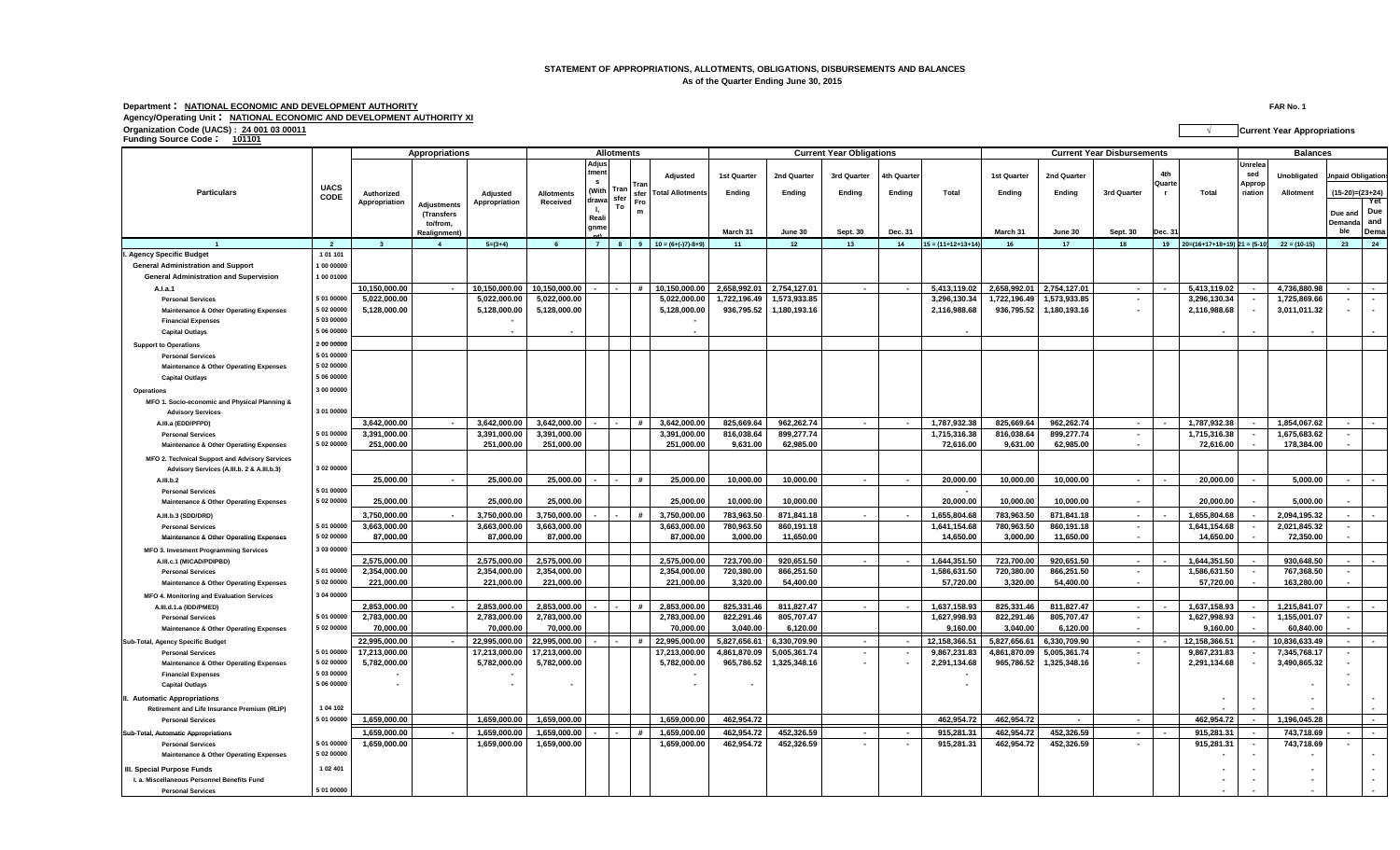## **STATEMENT OF APPROPRIATIONS, ALLOTMENTS, OBLIGATIONS, DISBURSEMENTS AND BALANCES As of the Quarter Ending June 30, 2015**

**Department : NATIONAL ECONOMIC AND DEVELOPMENT AUTHORITY FAR No. 1 Agency/Operating Unit : NATIONAL ECONOMIC AND DEVELOPMENT AUTHORITY XI**

**Funding Source Code : <sup>101101</sup>**

**Adjusted 1st Quarter 2nd Quarter 3rd Quarter 4th Quarter 1st Quarter 2nd Quarter Unobligated Total Allotments Ending Ending Ending Ending Total Ending Ending Total Allotment March 31 June 30 Sept. 30 Dec. 31 March 31 June 30 Sept. 30 Dec. 31 Due and Demanda ble Yet Due and Dema** 2 3 4 5=(3+4) 6 7 8 9 10 = (6+(-)7)-8+9) 11 1 2 13 14 15 = (11+12+13+14) 16 17 18 19 10= (6+1-17+18+19) 21 = (5-101 22 = (10-15) 23 24 **Appropriations Allotments Current Year Obligations Current Year Disbursements Balances Particulars UACS CODE Adjustments (Transfers to/from, Realignment) Authorized Appropriation Adjus tment s (With drawa sfer l, Reali gnme 10** =  $(6+(-)7)-8+9$ **Adjusted Appropriation Allotments Received 3rd Quarter 4th Quarte r Unrelea sed Approp** Tran | '\*\*\*\*" | Total Allotments | Ending | Ending | Ending | Total | Ending | Ending | Std Quarter r | Total | Tration | Allotment | (15-20)=(23+24) **To Tran sfer Fro m Ipaid Obligation I. Agency Specific Budget 1 01 101 General Administration and Support 1 00 00000 General Administration and Supervision 1 00 01000** - | 10,150,000.00 | 10,150,000.00 | 10,150,000.00 | 10,150,000.00 | - | + | 10,150,000.00 | - | + | 10,150,000.00 | - | + | 10,150,000.00 | - | + | 10,150,000.00 | - | + | 10,150,000.00 | - | + | 10,150,000.00 | 2,658,992.  **Personal Services 5 01 00000 5,022,000.00 5,022,000.00 5,022,000.00 5,022,000.00 1,722,196.49 1,573,933.85 3,296,130.34 1,722,196.49 1,573,933.85 - 3,296,130.34 - 1,725,869.66 - -** - | 2,116,988.68 (90her Operating Expenses | 502 0000 | 5,128,000.00 | 1 | 5,128,000.00 | 5,128,000.00 | 5,128,000.00 | 5,128,000.00 | 5,128,000.00 | 1 | 5,128,000.00 | 5,128,000.00 | 5,128,000.00 | 5,128,000.00 | 5,128,0  **Financial Expenses 5 03 00000 - - Capital Outlays 5 06 00000 - - - - - - - - Support to Operations 2 00 00000 Personal Services 5 01 00000 Maintenance & Other Operating Expenses 5 02 00000 Capital Outlays 5 06 00000 Operations 3 00 00000 MFO 1. Socio-economic and Physical Planning & Advisory Services 3 01 00000 A.III.a (EDD/PFPD) 3,642,000.00 - 3,642,000.00 3,642,000.00 - - # 3,642,000.00 825,669.64 962,262.74 - - 1,787,932.38 825,669.64 962,262.74 - - 1,787,932.38 - 1,854,067.62 - - Personal Services 5 01 00000 3,391,000.00 3,391,000.00 3,391,000.00 3,391,000.00 816,038.64 899,277.74 1,715,316.38 816,038.64 899,277.74 - 1,715,316.38 - 1,675,683.62 -** Maintenance&Other Operating Expenses |5 02 00000 | 251,000.00 | 251,000.00 | 251,000.00 | 251,000.00 | 551.000.00 | 251,000.00 | 72,616.00 |  **MFO 2. Technical Support and Advisory Services Advisory Services (A.III.b. 2 & A.III.b.3) 3 02 00000** ـ ↓ A.III.b.2 25,000.00 | 25,000.00 | 20,000.00 | 5,000.00 | 25,000.00 | 25,000.00 | 25,000.00 | 25,000.00 | 25,000.0  **Personal Services 5 01 00000 -** Maintenance & Other Operating Expenses 5 02 00000 | 25,000.00 | 25,000.00 | 25,000.00 | 25,000.00 | 25,000.00 | 5,000.00 |  **A.III.b.3 (SDD/DRD) 3,750,000.00 - 3,750,000.00 3,750,000.00 - - # 3,750,000.00 783,963.50 871,841.18 - - 1,655,804.68 783,963.50 871,841.18 - - 1,655,804.68 - 2,094,195.32 - - Personal Services 5 01 00000 3,663,000.00 3,663,000.00 3,663,000.00 3,663,000.00 780,963.50 860,191.18 1,641,154.68 780,963.50 860,191.18 - 1,641,154.68 - 2,021,845.32 -** - Maintenance & Other Operating Expenses 5 02 00000 | 87,000.00 | 87,000.00 | 87,000.00 | 1,050.00 | 14,650.00 | 14,650.00 | 14,650.00 |  **MFO 3. Invesment Programming Services 3 03 00000 A.III.c.1 (MICAD/PDIPBD) 2,575,000.00 2,575,000.00 2,575,000.00 2,575,000.00 723,700.00 920,651.50 - - 1,644,351.50 723,700.00 920,651.50 - - 1,644,351.50 - 930,648.50 - -** 1,586,631.50 2,58,631.50 2,566,631.50 Personal Services **1,586,631.50 2,354,000.00 2,354,000.00 2,354,000.00 7,000.00 7,000.00 720,380.00 866,251.50 7,586,631.50 720,380.00 866,251.50 - 1,586,631.50 - 1,586,631.50 - 767,3** Maintenance & Other Operating Expenses 5 02 00000 | 221,000.00 | 221,000.00 | 221,000.00 | | 221,000.00 | 3,320.00 | 5,400.00 | | 57,720.00 | 54,400.00 | | | 57,720.00 | | | 57,720.00 | | |  **MFO 4. Monitoring and Evaluation Services 3 04 00000 A.III.d.1.a (IDD/PMED) 2,853,000.00 - 2,853,000.00 2,853,000.00 - - # 2,853,000.00 825,331.46 811,827.47 - - 1,637,158.93 825,331.46 811,827.47 - - 1,637,158.93 - 1,215,841.07 - - Personal Services 5 01 00000 2,783,000.00 2,783,000.00 2,783,000.00 2,783,000.00 822,291.46 805,707.47 1,627,998.93 822,291.46 805,707.47 - 1,627,998.93 - 1,155,001.07 - Maintenance & Other Operating Expenses 5 02 00000 70,000.00 70,000.00 70,000.00 70,000.00 3,040.00 6,120.00 9,160.00 3,040.00 6,120.00 - 9,160.00 - 60,840.00 -** - | 20,995,000.00 | 22,995,000.00 | 22,995,000.00 | 22,995,000.00 | 22,995,000.00 | - | # | 22,995,000.00 | 5,827,656.61 | 5,330,709.90 | - | - | 1,158,366.51 | 6,330,709.90 | - | - | 1,158,366.51 | 6,330,709.90 | - | - |  **Personal Services 5 01 00000 17,213,000.00 17,213,000.00 17,213,000.00 17,213,000.00 4,861,870.09 5,005,361.74 - - 9,867,231.83 4,861,870.09 5,005,361.74 - 9,867,231.83 - 7,345,768.17 - Maintenance & Other Operating Expenses 5 02 00000 5,782,000.00 5,782,000.00 5,782,000.00 5,782,000.00 965,786.52 1,325,348.16 - - 2,291,134.68 965,786.52 1,325,348.16 - 2,291,134.68 - 3,490,865.32 - Financial Expenses 5 03 00000 - - - - - Capital Outlays 5 06 00000 - - - - - - - - II. Automatic Appropriations - - - - Retirement and Life Insurance Premium (RLIP) 1 04 102 - - - - Personal Services 5 01 00000 1,659,000.00 1,659,000.00 1,659,000.00 1,659,000.00 462,954.72 462,954.72 462,954.72 - - 462,954.72 - 1,196,045.28 -** Sub-Total, Automatic Appropriations 1,659,000.00 | 1,659,000.00 | 1,659,000.00 | 1,659,000.00 | 1,659,000.00 |  **Personal Services 5 01 00000 1,659,000.00 1,659,000.00 1,659,000.00 1,659,000.00 462,954.72 452,326.59 - - 915,281.31 462,954.72 452,326.59 - 915,281.31 - 743,718.69 - Maintenance & Other Operating Expenses 5 02 00000 - - - - III. Special Purpose Funds 1 02 401 - - - - I. a. Miscellaneous Personnel Benefits Fund - - - - Personal Services 5 01 00000 - - - -**

**Organization Code (UACS) : 24 001 03 00011 √ Current Year Appropriations**